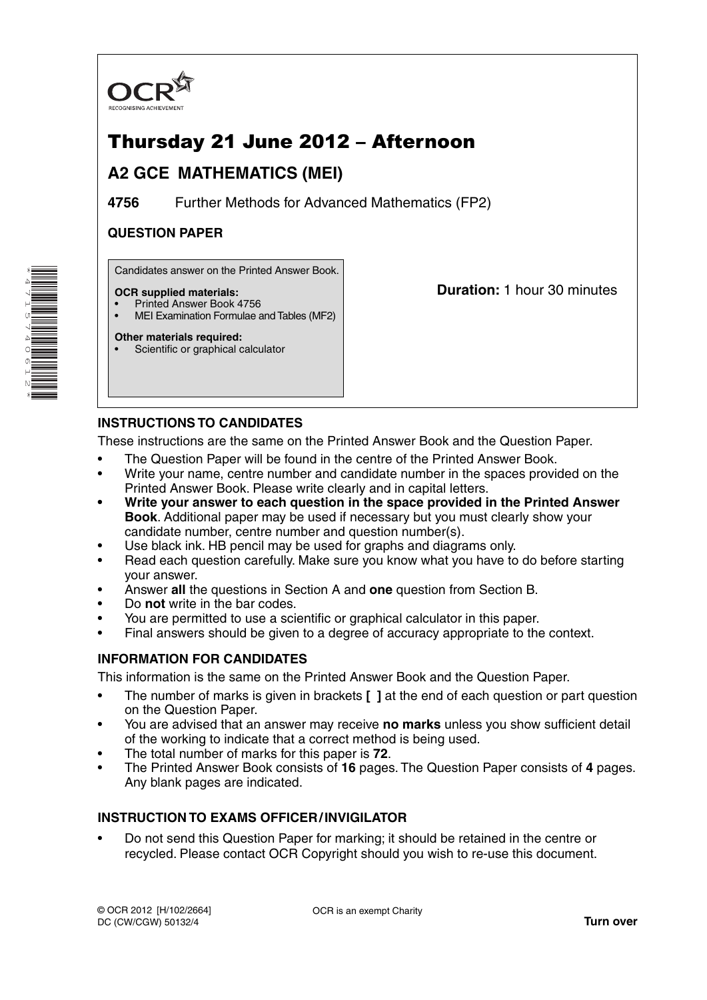

# Thursday 21 June 2012 – Afternoon

## **A2 GCE MATHEMATICS (MEI)**

**4756** Further Methods for Advanced Mathematics (FP2)

## **QUESTION PAPER**

Candidates answer on the Printed Answer Book.

### **OCR supplied materials:**

- Printed Answer Book 4756
- MEI Examination Formulae and Tables (MF2)

### **Other materials required:**

Scientific or graphical calculator

**Duration:** 1 hour 30 minutes

## **INSTRUCTIONS TO CANDIDATES**

These instructions are the same on the Printed Answer Book and the Question Paper.

- The Question Paper will be found in the centre of the Printed Answer Book.
- Write your name, centre number and candidate number in the spaces provided on the Printed Answer Book. Please write clearly and in capital letters.
- **Write your answer to each question in the space provided in the Printed Answer Book**. Additional paper may be used if necessary but you must clearly show your candidate number, centre number and question number(s).
- Use black ink. HB pencil may be used for graphs and diagrams only.
- Read each question carefully. Make sure you know what you have to do before starting your answer.
- Answer **all** the questions in Section A and **one** question from Section B.
- Do **not** write in the bar codes.
- You are permitted to use a scientific or graphical calculator in this paper.
- Final answers should be given to a degree of accuracy appropriate to the context.

## **INFORMATION FOR CANDIDATES**

This information is the same on the Printed Answer Book and the Question Paper.

- The number of marks is given in brackets **[ ]** at the end of each question or part question on the Question Paper.
- You are advised that an answer may receive **no marks** unless you show sufficient detail of the working to indicate that a correct method is being used.
- The total number of marks for this paper is **72**.
- The Printed Answer Book consists of **16** pages. The Question Paper consists of **4** pages. Any blank pages are indicated.

## **INSTRUCTION TO EXAMS OFFICER / INVIGILATOR**

• Do not send this Question Paper for marking; it should be retained in the centre or recycled. Please contact OCR Copyright should you wish to re-use this document.

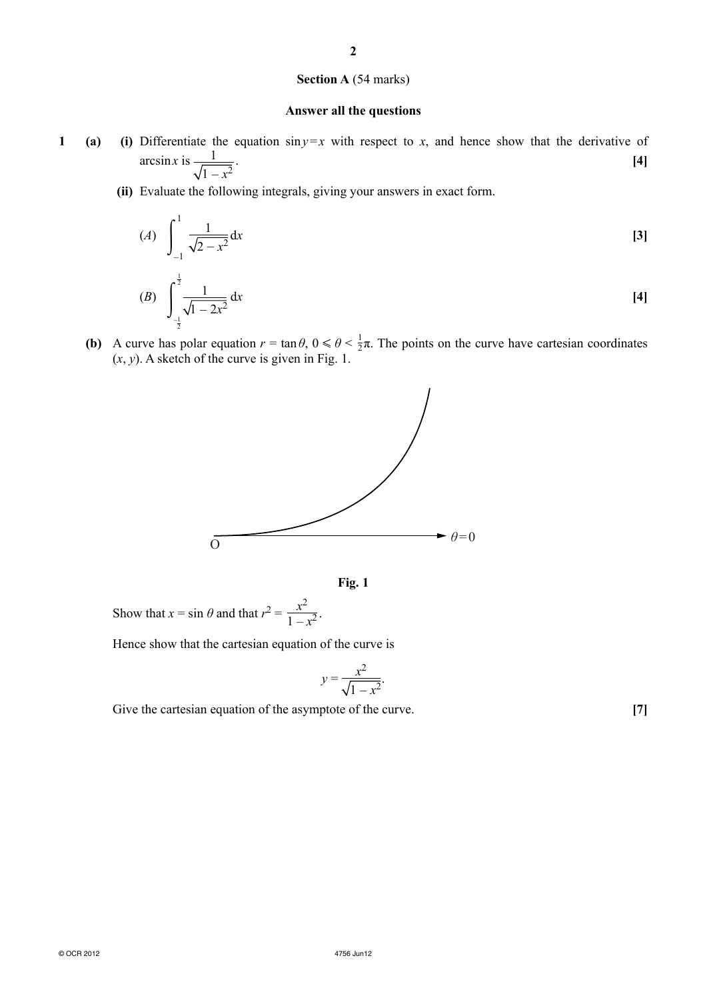### **2**

#### **Section A** (54 marks)

#### **Answer all the questions**

- **1** (a) (i) Differentiate the equation  $\sin y = x$  with respect to *x*, and hence show that the derivative of  $\arcsin x$  is  $\frac{1}{\sqrt{2}}$  $1 - x^2$ . **[4]**
	- **(ii)** Evaluate the following integrals, giving your answers in exact form.

$$
(A) \quad \int_{-1}^{1} \frac{1}{\sqrt{2 - x^2}} \, \mathrm{d}x \tag{3}
$$

(B) 
$$
\int_{-\frac{1}{2}}^{\frac{1}{2}} \frac{1}{\sqrt{1-2x^2}} dx
$$
 [4]

**(b)** A curve has polar equation  $r = \tan \theta$ ,  $0 \le \theta \le \frac{1}{2}\pi$ . The points on the curve have cartesian coordinates  $(x, y)$ . A sketch of the curve is given in Fig. 1.





Show that  $x = \sin \theta$  and that  $r^2 = \frac{x^2}{1 - x^2}$ .

Hence show that the cartesian equation of the curve is

$$
y = \frac{x^2}{\sqrt{1 - x^2}}.
$$

Give the cartesian equation of the asymptote of the curve. **[7]**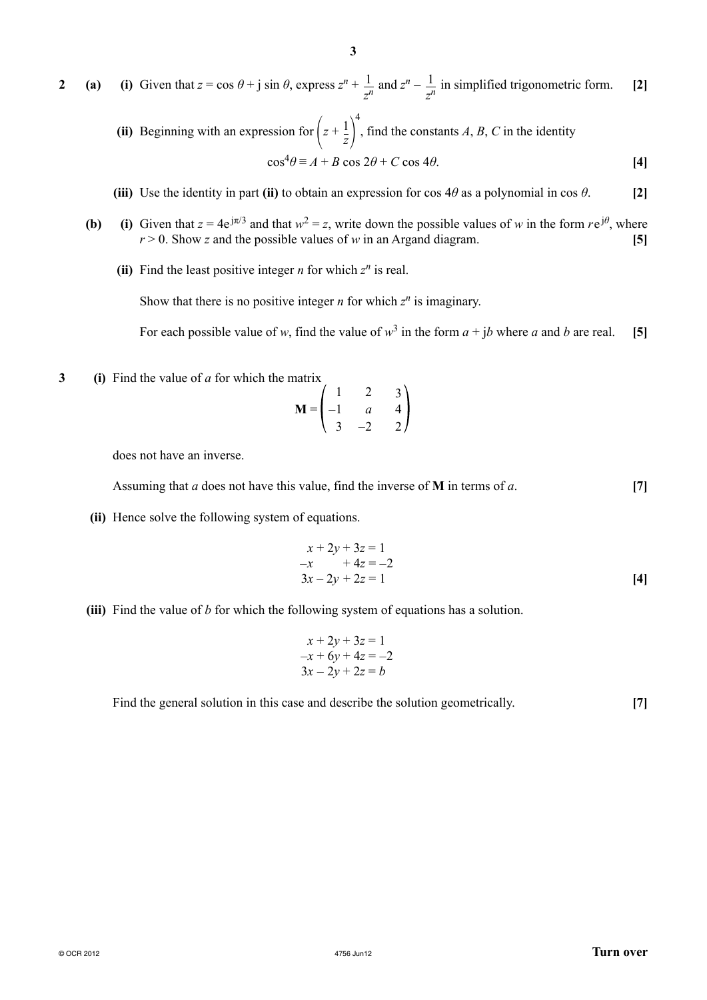**3**

**(ii)** Beginning with an expression for  $\left(z + \frac{1}{z}\right)^4$ , find the constants  $A$ ,  $B$ ,  $C$  in the identity  $\cos^4\theta \equiv A + B \cos 2\theta + C \cos 4\theta.$  [4]

- **(iii)** Use the identity in part **(ii)** to obtain an expression for cos  $4\theta$  as a polynomial in cos  $\theta$ . [2]
- **(b)** (i) Given that  $z = 4e^{j\pi/3}$  and that  $w^2 = z$ , write down the possible values of *w* in the form  $re^{j\theta}$ , where  $r > 0$ . Show *z* and the possible values of *w* in an Argand diagram. **[5]** 
	- **(ii)** Find the least positive integer *n* for which  $z^n$  is real.

Show that there is no positive integer *n* for which  $z^n$  is imaginary.

For each possible value of *w*, find the value of  $w^3$  in the form  $a + ib$  where *a* and *b* are real. [5]

**3 (i)** Find the value of *a* for which the matrix

$$
\mathbf{M} = \begin{pmatrix} 1 & 2 & 3 \\ -1 & a & 4 \\ 3 & -2 & 2 \end{pmatrix}
$$

does not have an inverse.

Assuming that *a* does not have this value, find the inverse of **M** in terms of *a*. **[7]**

 **(ii)** Hence solve the following system of equations.

$$
x + 2y + 3z = 1
$$
  
-x + 4z = -2  

$$
3x - 2y + 2z = 1
$$
 [4]

 **(iii)** Find the value of *b* for which the following system of equations has a solution.

$$
x+2y+3z = 1
$$
  
-x+6y+4z = -2  

$$
3x-2y+2z = b
$$

Find the general solution in this case and describe the solution geometrically. [7]